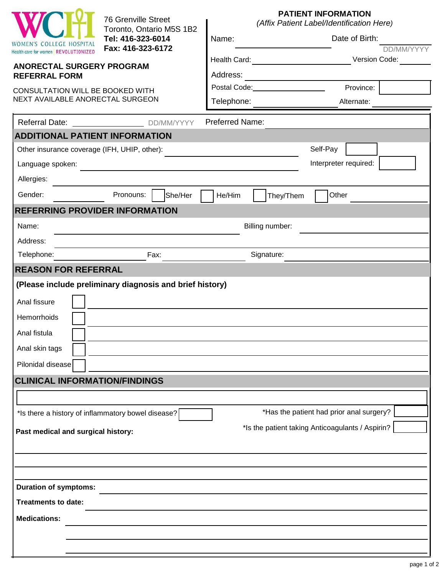|                                                                                    | <b>76 Grenville Street</b>                                                 |                        | <b>PATIENT INFORMATION</b><br>(Affix Patient Label/Identification Here)                                                                                                                                                                                                                         |                                                                                              |                             |  |
|------------------------------------------------------------------------------------|----------------------------------------------------------------------------|------------------------|-------------------------------------------------------------------------------------------------------------------------------------------------------------------------------------------------------------------------------------------------------------------------------------------------|----------------------------------------------------------------------------------------------|-----------------------------|--|
| <b>WOMEN'S COLLEGE HOSPITAL</b>                                                    | Toronto, Ontario M5S 1B2<br>Tel: 416-323-6014                              | Name:                  | Date of Birth:                                                                                                                                                                                                                                                                                  |                                                                                              |                             |  |
| Health care for women REVOLUTIONIZED                                               | Fax: 416-323-6172                                                          |                        | Health Card: <u>___________________________</u>                                                                                                                                                                                                                                                 |                                                                                              | DD/MM/YYYY<br>Version Code: |  |
| ANORECTAL SURGERY PROGRAM<br><b>REFERRAL FORM</b>                                  |                                                                            | Address:               |                                                                                                                                                                                                                                                                                                 |                                                                                              |                             |  |
| CONSULTATION WILL BE BOOKED WITH                                                   |                                                                            |                        | <u> 1989 - Johann Barn, mars an t-Amerikaansk ferskeider (</u><br>Postal Code: Note that the state of the state of the state of the state of the state of the state of the state of the state of the state of the state of the state of the state of the state of the state of the state of the | Province:                                                                                    |                             |  |
| NEXT AVAILABLE ANORECTAL SURGEON                                                   | Telephone:                                                                 |                        | Alternate:                                                                                                                                                                                                                                                                                      |                                                                                              |                             |  |
| <b>Referral Date:</b>                                                              | DD/MM/YYYY                                                                 | <b>Preferred Name:</b> |                                                                                                                                                                                                                                                                                                 |                                                                                              |                             |  |
| <b>ADDITIONAL PATIENT INFORMATION</b>                                              |                                                                            |                        |                                                                                                                                                                                                                                                                                                 |                                                                                              |                             |  |
| Other insurance coverage (IFH, UHIP, other):                                       |                                                                            |                        | Self-Pay                                                                                                                                                                                                                                                                                        |                                                                                              |                             |  |
| Language spoken:                                                                   | the control of the control of the control of the control of the control of |                        | Interpreter required:                                                                                                                                                                                                                                                                           |                                                                                              |                             |  |
| Allergies:                                                                         |                                                                            |                        |                                                                                                                                                                                                                                                                                                 |                                                                                              |                             |  |
| Gender:                                                                            | Pronouns:<br>She/Her                                                       | He/Him                 | They/Them                                                                                                                                                                                                                                                                                       | Other                                                                                        |                             |  |
|                                                                                    | <b>REFERRING PROVIDER INFORMATION</b>                                      |                        |                                                                                                                                                                                                                                                                                                 |                                                                                              |                             |  |
| Name:                                                                              | Billing number:                                                            |                        |                                                                                                                                                                                                                                                                                                 |                                                                                              |                             |  |
| Address:                                                                           |                                                                            |                        |                                                                                                                                                                                                                                                                                                 |                                                                                              |                             |  |
| Telephone:                                                                         | Signature:<br>Fax:                                                         |                        |                                                                                                                                                                                                                                                                                                 |                                                                                              |                             |  |
| <b>REASON FOR REFERRAL</b>                                                         |                                                                            |                        |                                                                                                                                                                                                                                                                                                 |                                                                                              |                             |  |
| Anal fissure<br>Hemorrhoids<br>Anal fistula<br>Anal skin tags<br>Pilonidal disease | (Please include preliminary diagnosis and brief history)                   |                        |                                                                                                                                                                                                                                                                                                 |                                                                                              |                             |  |
| <b>CLINICAL INFORMATION/FINDINGS</b>                                               |                                                                            |                        |                                                                                                                                                                                                                                                                                                 |                                                                                              |                             |  |
| Past medical and surgical history:                                                 | *Is there a history of inflammatory bowel disease?                         |                        |                                                                                                                                                                                                                                                                                                 | *Has the patient had prior anal surgery?<br>*Is the patient taking Anticoagulants / Aspirin? |                             |  |
| <b>Duration of symptoms:</b><br><b>Treatments to date:</b>                         |                                                                            |                        |                                                                                                                                                                                                                                                                                                 |                                                                                              |                             |  |
| <b>Medications:</b>                                                                |                                                                            |                        |                                                                                                                                                                                                                                                                                                 |                                                                                              |                             |  |